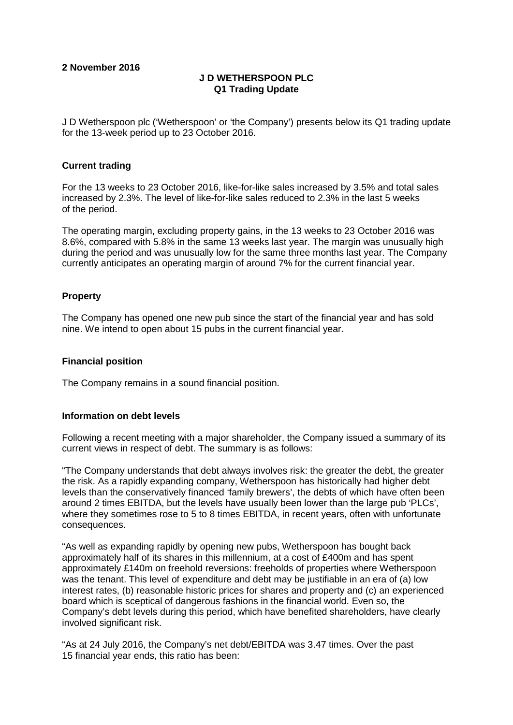# **2 November 2016**

# **J D WETHERSPOON PLC Q1 Trading Update**

J D Wetherspoon plc ('Wetherspoon' or 'the Company') presents below its Q1 trading update for the 13-week period up to 23 October 2016.

## **Current trading**

For the 13 weeks to 23 October 2016, like-for-like sales increased by 3.5% and total sales increased by 2.3%. The level of like-for-like sales reduced to 2.3% in the last 5 weeks of the period.

The operating margin, excluding property gains, in the 13 weeks to 23 October 2016 was 8.6%, compared with 5.8% in the same 13 weeks last year. The margin was unusually high during the period and was unusually low for the same three months last year. The Company currently anticipates an operating margin of around 7% for the current financial year.

## **Property**

The Company has opened one new pub since the start of the financial year and has sold nine. We intend to open about 15 pubs in the current financial year.

### **Financial position**

The Company remains in a sound financial position.

### **Information on debt levels**

Following a recent meeting with a major shareholder, the Company issued a summary of its current views in respect of debt. The summary is as follows:

"The Company understands that debt always involves risk: the greater the debt, the greater the risk. As a rapidly expanding company, Wetherspoon has historically had higher debt levels than the conservatively financed 'family brewers', the debts of which have often been around 2 times EBITDA, but the levels have usually been lower than the large pub 'PLCs', where they sometimes rose to 5 to 8 times EBITDA, in recent years, often with unfortunate consequences.

"As well as expanding rapidly by opening new pubs, Wetherspoon has bought back approximately half of its shares in this millennium, at a cost of £400m and has spent approximately £140m on freehold reversions: freeholds of properties where Wetherspoon was the tenant. This level of expenditure and debt may be justifiable in an era of (a) low interest rates, (b) reasonable historic prices for shares and property and (c) an experienced board which is sceptical of dangerous fashions in the financial world. Even so, the Company's debt levels during this period, which have benefited shareholders, have clearly involved significant risk.

"As at 24 July 2016, the Company's net debt/EBITDA was 3.47 times. Over the past 15 financial year ends, this ratio has been: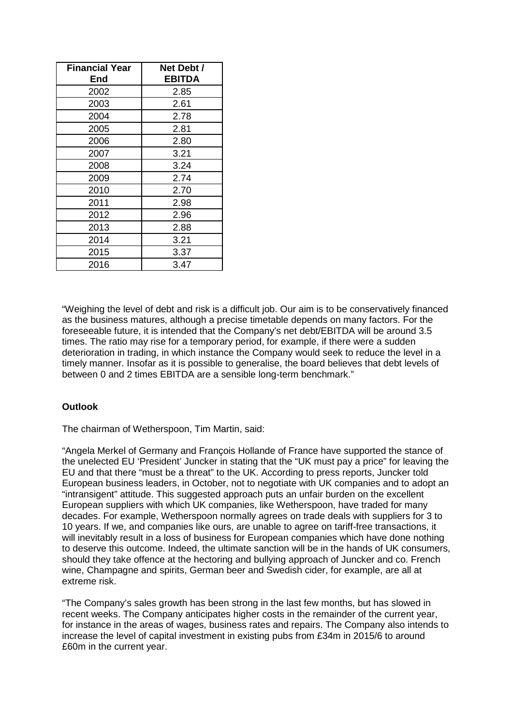| <b>Financial Year</b><br>End | Net Debt /<br><b>EBITDA</b> |  |
|------------------------------|-----------------------------|--|
| 2002                         | 2.85                        |  |
| 2003                         | 2.61                        |  |
| 2004                         | 2.78                        |  |
| 2005                         | 2.81                        |  |
| 2006                         | 2.80                        |  |
| 2007                         | 3.21                        |  |
| 2008                         | 3.24                        |  |
| 2009                         | 2.74                        |  |
| 2010                         | 2.70                        |  |
| 2011                         | 2.98                        |  |
| 2012                         | 2.96                        |  |
| 2013                         | 2.88                        |  |
| 2014                         | 3.21                        |  |
| 2015                         | 3.37                        |  |
| 2016                         | 3.47                        |  |

"Weighing the level of debt and risk is a difficult job. Our aim is to be conservatively financed as the business matures, although a precise timetable depends on many factors. For the foreseeable future, it is intended that the Company's net debt/EBITDA will be around 3.5 times. The ratio may rise for a temporary period, for example, if there were a sudden deterioration in trading, in which instance the Company would seek to reduce the level in a timely manner. Insofar as it is possible to generalise, the board believes that debt levels of between 0 and 2 times EBITDA are a sensible long-term benchmark."

# **Outlook**

The chairman of Wetherspoon, Tim Martin, said:

"Angela Merkel of Germany and François Hollande of France have supported the stance of the unelected EU 'President' Juncker in stating that the "UK must pay a price" for leaving the EU and that there "must be a threat" to the UK. According to press reports, Juncker told European business leaders, in October, not to negotiate with UK companies and to adopt an "intransigent" attitude. This suggested approach puts an unfair burden on the excellent European suppliers with which UK companies, like Wetherspoon, have traded for many decades. For example, Wetherspoon normally agrees on trade deals with suppliers for 3 to 10 years. If we, and companies like ours, are unable to agree on tariff-free transactions, it will inevitably result in a loss of business for European companies which have done nothing to deserve this outcome. Indeed, the ultimate sanction will be in the hands of UK consumers, should they take offence at the hectoring and bullying approach of Juncker and co. French wine, Champagne and spirits, German beer and Swedish cider, for example, are all at extreme risk.

"The Company's sales growth has been strong in the last few months, but has slowed in recent weeks. The Company anticipates higher costs in the remainder of the current year, for instance in the areas of wages, business rates and repairs. The Company also intends to increase the level of capital investment in existing pubs from £34m in 2015/6 to around £60m in the current year.